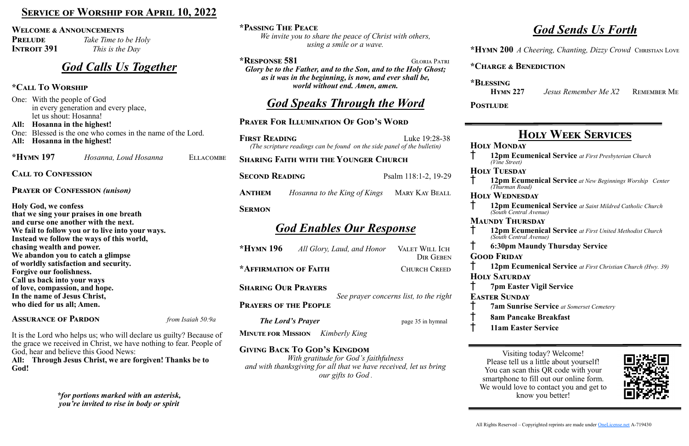### **\*Passing The Peace**

*We invite you to share the peace of Christ with others, using a smile or a wave.*

**FIRST READING Luke 19:28-38** *(The scripture readings can be found on the side panel of the bulletin)*

**\*Response 581** Gloria Patri *Glory be to the Father, and to the Son, and to the Holy Ghost; as it was in the beginning, is now, and ever shall be, world without end. Amen, amen.*

# *God Speaks Through the Word*

### **Prayer For Illumination Of God's Word**

**Sharing Faith with the Younger Church**

**SECOND READING** Psalm 118:1-2, 19-29

**ANTHEM** *Hosanna to the King of Kings* **MARY KAY BEALL** 

**PRELUDE** *Take Time to be Holy* **Introit 391** *This is the Day*

### **Sermon**

## *God Enables Our Response*

**\*Hymn 196** *All Glory, Laud, and Honor* Valet Will Ich Dir Geben **\*Affirmation of Faith** Church Creed

**Sharing Our Prayers** *See prayer concerns list, to the right*

**Prayers of the People**

*The Lord's Prayer* page 35 in hymnal

**Minute for Mission** *Kimberly King*

**Giving Back To God's Kingdom**

*With gratitude for God's faithfulness and with thanksgiving for all that we have received, let us bring our gifts to God* .

### **SERVICE OF WORSHIP FOR APRIL 10, 2022**

### **Welcome & Announcements**

## *God Calls Us Together*

### **\*Call To Worship**

One: With the people of God in every generation and every place, let us shout: Hosanna!

**All: Hosanna in the highest!**  One: Blessed is the one who comes in the name of the Lord. **All: Hosanna in the highest!**

**\*Hymn 197** *Hosanna, Loud Hosanna* Ellacombe

**Call to Confession**

**Prayer of Confession** *(unison)* 

**Holy God, we confess that we sing your praises in one breath and curse one another with the next. We fail to follow you or to live into your ways. Instead we follow the ways of this world, chasing wealth and power. We abandon you to catch a glimpse of worldly satisfaction and security. Forgive our foolishness. Call us back into your ways of love, compassion, and hope. In the name of Jesus Christ, who died for us all; Amen.**

### **Assurance of Pardon** *from Isaiah 50:9a*

It is the Lord who helps us; who will declare us guilty? Because of the grace we received in Christ, we have nothing to fear. People of God, hear and believe this Good News:

**All: Through Jesus Christ, we are forgiven! Thanks be to God!**

> *\*for portions marked with an asterisk, you're invited to rise in body or spirit*

# *God Sends Us Forth*

**\*Hymn 200** *A Cheering, Chanting, Dizzy Crowd* Christian Love

### **\*Charge & Benediction**

**\*Blessing Hymn 227** *Jesus Remember Me X2* Remember Me

POSTLUDE

# **Holy Week Services**

† **12pm Ecumenical Service** *at First Presbyterian Church* 

† **12pm Ecumenical Service** *at New Beginnings Worship Center* 

† **12pm Ecumenical Service** *at Saint Mildred Catholic Church* 

**Holy Monday** *(Vine Street)* **HOLY TUESDAY** *(Thurman Road)* **Holy Wednesday** *(South Central Avenue)* **Maundy Thursday** *(South Central Avenue)* † **6:30pm Maundy Thursday Service Good Friday Holy Saturday** † **7pm Easter Vigil Service Easter Sunday** † **7am Sunrise Service** *at Somerset Cemetery* † **8am Pancake Breakfast** † **11am Easter Service**

† **12pm Ecumenical Service** *at First United Methodist Church* 

† **12pm Ecumenical Service** *at First Christian Church (Hwy. 39)*



Visiting today? Welcome! Please tell us a little about yourself! You can scan this QR code with your smartphone to fill out our online form. We would love to contact you and get to know you better!